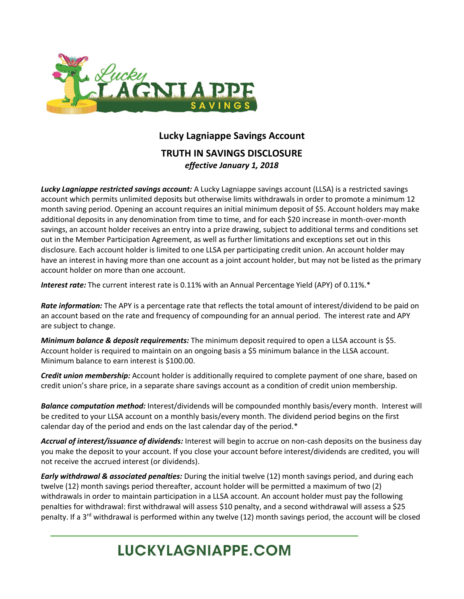

## **Lucky Lagniappe Savings Account TRUTH IN SAVINGS DISCLOSURE**  *effective January 1, 2018*

*Lucky Lagniappe restricted savings account:* A Lucky Lagniappe savings account (LLSA) is a restricted savings account which permits unlimited deposits but otherwise limits withdrawals in order to promote a minimum 12 month saving period. Opening an account requires an initial minimum deposit of \$5. Account holders may make additional deposits in any denomination from time to time, and for each \$20 increase in month-over-month savings, an account holder receives an entry into a prize drawing, subject to additional terms and conditions set out in the Member Participation Agreement, as well as further limitations and exceptions set out in this disclosure. Each account holder is limited to one LLSA per participating credit union. An account holder may have an interest in having more than one account as a joint account holder, but may not be listed as the primary account holder on more than one account.

*Interest rate:* The current interest rate is 0.11% with an Annual Percentage Yield (APY) of 0.11%.\*

*Rate information:* The APY is a percentage rate that reflects the total amount of interest/dividend to be paid on an account based on the rate and frequency of compounding for an annual period. The interest rate and APY are subject to change.

*Minimum balance & deposit requirements:* The minimum deposit required to open a LLSA account is \$5. Account holder is required to maintain on an ongoing basis a \$5 minimum balance in the LLSA account. Minimum balance to earn interest is \$100.00.

*Credit union membership:* Account holder is additionally required to complete payment of one share, based on credit union's share price, in a separate share savings account as a condition of credit union membership.

*Balance computation method:* Interest/dividends will be compounded monthly basis/every month. Interest will be credited to your LLSA account on a monthly basis/every month. The dividend period begins on the first calendar day of the period and ends on the last calendar day of the period.\*

*Accrual of interest/issuance of dividends:* Interest will begin to accrue on non-cash deposits on the business day you make the deposit to your account. If you close your account before interest/dividends are credited, you will not receive the accrued interest (or dividends).

*Early withdrawal & associated penalties:* During the initial twelve (12) month savings period, and during each twelve (12) month savings period thereafter, account holder will be permitted a maximum of two (2) withdrawals in order to maintain participation in a LLSA account. An account holder must pay the following penalties for withdrawal: first withdrawal will assess \$10 penalty, and a second withdrawal will assess a \$25 penalty. If a  $3<sup>rd</sup>$  withdrawal is performed within any twelve (12) month savings period, the account will be closed

## **LUCKYLAGNIAPPE.COM**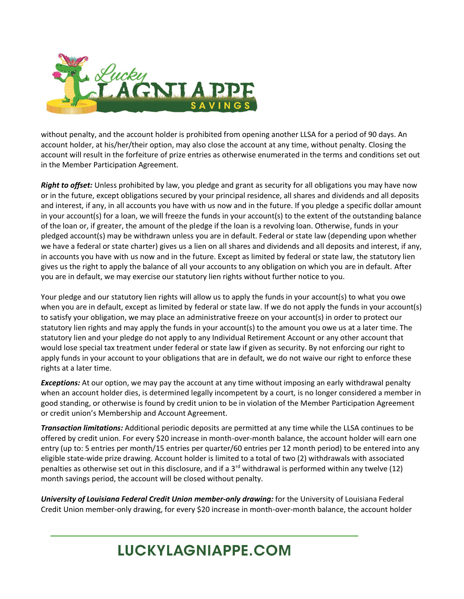

without penalty, and the account holder is prohibited from opening another LLSA for a period of 90 days. An account holder, at his/her/their option, may also close the account at any time, without penalty. Closing the account will result in the forfeiture of prize entries as otherwise enumerated in the terms and conditions set out in the Member Participation Agreement.

*Right to offset:* Unless prohibited by law, you pledge and grant as security for all obligations you may have now or in the future, except obligations secured by your principal residence, all shares and dividends and all deposits and interest, if any, in all accounts you have with us now and in the future. If you pledge a specific dollar amount in your account(s) for a loan, we will freeze the funds in your account(s) to the extent of the outstanding balance of the loan or, if greater, the amount of the pledge if the loan is a revolving loan. Otherwise, funds in your pledged account(s) may be withdrawn unless you are in default. Federal or state law (depending upon whether we have a federal or state charter) gives us a lien on all shares and dividends and all deposits and interest, if any, in accounts you have with us now and in the future. Except as limited by federal or state law, the statutory lien gives us the right to apply the balance of all your accounts to any obligation on which you are in default. After you are in default, we may exercise our statutory lien rights without further notice to you.

Your pledge and our statutory lien rights will allow us to apply the funds in your account(s) to what you owe when you are in default, except as limited by federal or state law. If we do not apply the funds in your account(s) to satisfy your obligation, we may place an administrative freeze on your account(s) in order to protect our statutory lien rights and may apply the funds in your account(s) to the amount you owe us at a later time. The statutory lien and your pledge do not apply to any Individual Retirement Account or any other account that would lose special tax treatment under federal or state law if given as security. By not enforcing our right to apply funds in your account to your obligations that are in default, we do not waive our right to enforce these rights at a later time.

*Exceptions:* At our option, we may pay the account at any time without imposing an early withdrawal penalty when an account holder dies, is determined legally incompetent by a court, is no longer considered a member in good standing, or otherwise is found by credit union to be in violation of the Member Participation Agreement or credit union's Membership and Account Agreement.

*Transaction limitations:* Additional periodic deposits are permitted at any time while the LLSA continues to be offered by credit union. For every \$20 increase in month-over-month balance, the account holder will earn one entry (up to: 5 entries per month/15 entries per quarter/60 entries per 12 month period) to be entered into any eligible state-wide prize drawing. Account holder is limited to a total of two (2) withdrawals with associated penalties as otherwise set out in this disclosure, and if a  $3<sup>rd</sup>$  withdrawal is performed within any twelve (12) month savings period, the account will be closed without penalty.

*University of Louisiana Federal Credit Union member-only drawing:* for the University of Louisiana Federal Credit Union member-only drawing, for every \$20 increase in month-over-month balance, the account holder

## **LUCKYLAGNIAPPE.COM**